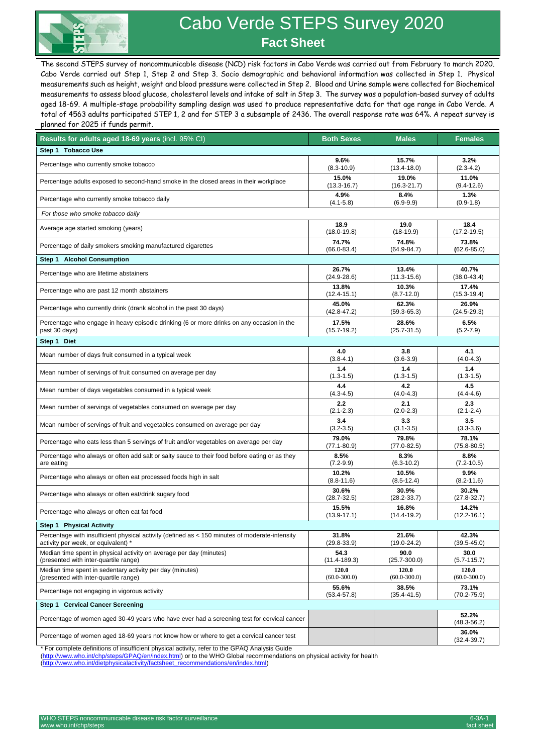

## Cabo Verde STEPS Survey 2020  **Fact Sheet**

The second STEPS survey of noncommunicable disease (NCD) risk factors in Cabo Verde was carried out from February to march 2020. Cabo Verde carried out Step 1, Step 2 and Step 3. Socio demographic and behavioral information was collected in Step 1. Physical measurements such as height, weight and blood pressure were collected in Step 2. Blood and Urine sample were collected for Biochemical measurements to assess blood glucose, cholesterol levels and intake of salt in Step 3. The survey was a population-based survey of adults aged 18-69. A multiple-stage probability sampling design was used to produce representative data for that age range in Cabo Verde. A total of 4563 adults participated STEP 1, 2 and for STEP 3 a subsample of 2436. The overall response rate was 64%. A repeat survey is planned for 2025 if funds permit.

| Results for adults aged 18-69 years (incl. 95% CI)                                             | <b>Both Sexes</b> | <b>Males</b>     | <b>Females</b>           |
|------------------------------------------------------------------------------------------------|-------------------|------------------|--------------------------|
| Step 1 Tobacco Use                                                                             |                   |                  |                          |
| Percentage who currently smoke tobacco                                                         | 9.6%              | 15.7%            | 3.2%                     |
|                                                                                                | $(8.3 - 10.9)$    | $(13.4 - 18.0)$  | $(2.3 - 4.2)$            |
| Percentage adults exposed to second-hand smoke in the closed areas in their workplace          | 15.0%             | 19.0%            | 11.0%                    |
|                                                                                                | $(13.3 - 16.7)$   | $(16.3 - 21.7)$  | $(9.4 - 12.6)$           |
| Percentage who currently smoke tobacco daily                                                   | 4.9%              | 8.4%             | 1.3%                     |
|                                                                                                | $(4.1 - 5.8)$     | $(6.9-9.9)$      | $(0.9-1.8)$              |
| For those who smoke tobacco daily                                                              |                   |                  |                          |
| Average age started smoking (years)                                                            | 18.9              | 19.0             | 18.4                     |
|                                                                                                | $(18.0 - 19.8)$   | $(18-19.9)$      | $(17.2 - 19.5)$          |
| Percentage of daily smokers smoking manufactured cigarettes                                    | 74.7%             | 74.8%            | 73.8%                    |
|                                                                                                | $(66.0 - 83.4)$   | $(64.9 - 84.7)$  | $(62.6 - 85.0)$          |
| Step 1 Alcohol Consumption                                                                     |                   |                  |                          |
| Percentage who are lifetime abstainers                                                         | 26.7%             | 13.4%            | 40.7%                    |
|                                                                                                | $(24.9 - 28.6)$   | $(11.3 - 15.6)$  | $(38.0 - 43.4)$          |
| Percentage who are past 12 month abstainers                                                    | 13.8%             | 10.3%            | 17.4%                    |
|                                                                                                | $(12.4 - 15.1)$   | $(8.7 - 12.0)$   | $(15.3 - 19.4)$          |
| Percentage who currently drink (drank alcohol in the past 30 days)                             | 45.0%             | 62.3%            | 26.9%                    |
|                                                                                                | $(42.8 - 47.2)$   | $(59.3 - 65.3)$  | $(24.5 - 29.3)$          |
| Percentage who engage in heavy episodic drinking (6 or more drinks on any occasion in the      | 17.5%             | 28.6%            | 6.5%                     |
| past 30 days)                                                                                  | $(15.7 - 19.2)$   | $(25.7 - 31.5)$  | $(5.2 - 7.9)$            |
| Step 1 Diet                                                                                    |                   |                  |                          |
| Mean number of days fruit consumed in a typical week                                           | 4.0               | 3.8              | 4.1                      |
|                                                                                                | $(3.8 - 4.1)$     | $(3.6 - 3.9)$    | $(4.0 - 4.3)$            |
| Mean number of servings of fruit consumed on average per day                                   | 1.4               | 1.4              | 1.4                      |
|                                                                                                | $(1.3 - 1.5)$     | $(1.3 - 1.5)$    | $(1.3 - 1.5)$            |
| Mean number of days vegetables consumed in a typical week                                      | 4.4               | 4.2              | 4.5                      |
|                                                                                                | $(4.3 - 4.5)$     | $(4.0 - 4.3)$    | $(4.4 - 4.6)$            |
| Mean number of servings of vegetables consumed on average per day                              | 2.2               | 2.1              | 2.3                      |
|                                                                                                | $(2.1 - 2.3)$     | $(2.0-2.3)$      | $(2.1 - 2.4)$            |
| Mean number of servings of fruit and vegetables consumed on average per day                    | 3.4               | 3.3              | 3.5                      |
|                                                                                                | $(3.2 - 3.5)$     | $(3.1 - 3.5)$    | $(3.3 - 3.6)$            |
| Percentage who eats less than 5 servings of fruit and/or vegetables on average per day         | 79.0%             | 79.8%            | 78.1%                    |
|                                                                                                | $(77.1 - 80.9)$   | $(77.0 - 82.5)$  | $(75.8 - 80.5)$          |
| Percentage who always or often add salt or salty sauce to their food before eating or as they  | 8.5%              | 8.3%             | 8.8%                     |
| are eating                                                                                     | $(7.2 - 9.9)$     | $(6.3 - 10.2)$   | $(7.2 - 10.5)$           |
| Percentage who always or often eat processed foods high in salt                                | 10.2%             | 10.5%            | 9.9%                     |
|                                                                                                | $(8.8 - 11.6)$    | $(8.5 - 12.4)$   | $(8.2 - 11.6)$           |
| Percentage who always or often eat/drink sugary food                                           | 30.6%             | 30.9%            | 30.2%                    |
|                                                                                                | $(28.7 - 32.5)$   | $(28.2 - 33.7)$  | $(27.8-32.7)$            |
| Percentage who always or often eat fat food                                                    | 15.5%             | 16.8%            | 14.2%                    |
|                                                                                                | $(13.9 - 17.1)$   | $(14.4 - 19.2)$  | $(12.2 - 16.1)$          |
| Step 1 Physical Activity                                                                       |                   |                  |                          |
| Percentage with insufficient physical activity (defined as < 150 minutes of moderate-intensity | 31.8%             | 21.6%            | 42.3%                    |
| activity per week, or equivalent) *                                                            | $(29.8 - 33.9)$   | $(19.0 - 24.2)$  | $(39.5 - 45.0)$          |
| Median time spent in physical activity on average per day (minutes)                            | 54.3              | 90.0             | 30.0                     |
| (presented with inter-quartile range)                                                          | $(11.4 - 189.3)$  | $(25.7 - 300.0)$ | $(5.7 - 115.7)$          |
| Median time spent in sedentary activity per day (minutes)                                      | 120.0             | 120.0            | 120.0                    |
| (presented with inter-quartile range)                                                          | $(60.0 - 300.0)$  | $(60.0 - 300.0)$ | $(60.0 - 300.0)$         |
| Percentage not engaging in vigorous activity                                                   | 55.6%             | 38.5%            | 73.1%                    |
|                                                                                                | $(53.4 - 57.8)$   | $(35.4 - 41.5)$  | $(70.2 - 75.9)$          |
| Step 1 Cervical Cancer Screening                                                               |                   |                  |                          |
| Percentage of women aged 30-49 years who have ever had a screening test for cervical cancer    |                   |                  | 52.2%<br>$(48.3 - 56.2)$ |
| Percentage of women aged 18-69 years not know how or where to get a cervical cancer test       |                   |                  | 36.0%<br>$(32.4 - 39.7)$ |

\* For complete definitions of insufficient physical activity, refer to the GPAQ Analysis Guide

[\(http://www.who.int/chp/steps/GPAQ/en/index.html\)](http://www.who.int/chp/steps/GPAQ/en/index.html) or to the WHO Global recommendations on physical activity for health<br>(http://www.who.int/dietphysicalactivity/factsheet recommendations/en/index.html)

(en/index.html)